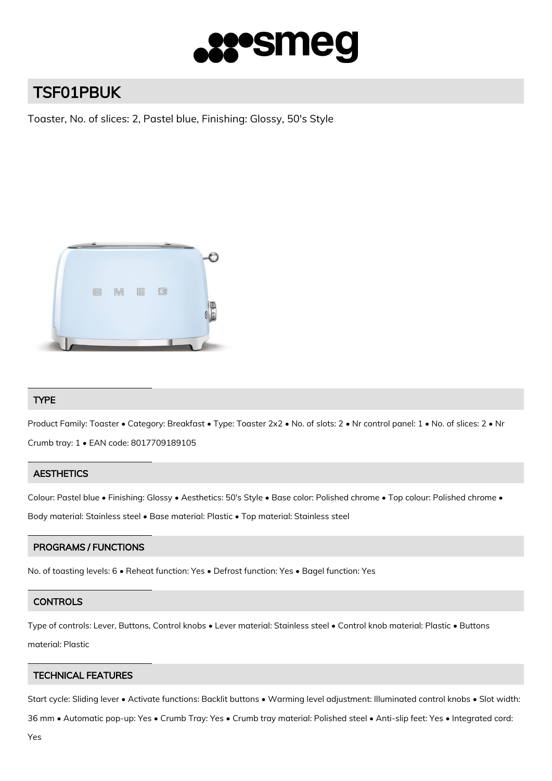

# TSF01PBUK

Toaster, No. of slices: 2, Pastel blue, Finishing: Glossy, 50's Style



## TYPE

Product Family: Toaster • Category: Breakfast • Type: Toaster 2x2 • No. of slots: 2 • Nr control panel: 1 • No. of slices: 2 • Nr Crumb tray: 1 • EAN code: 8017709189105

## **AESTHETICS**

Colour: Pastel blue • Finishing: Glossy • Aesthetics: 50's Style • Base color: Polished chrome • Top colour: Polished chrome •

Body material: Stainless steel • Base material: Plastic • Top material: Stainless steel

## PROGRAMS / FUNCTIONS

No. of toasting levels: 6 • Reheat function: Yes • Defrost function: Yes • Bagel function: Yes

## **CONTROLS**

Type of controls: Lever, Buttons, Control knobs • Lever material: Stainless steel • Control knob material: Plastic • Buttons material: Plastic

## TECHNICAL FEATURES

Start cycle: Sliding lever • Activate functions: Backlit buttons • Warming level adjustment: Illuminated control knobs • Slot width:

36 mm • Automatic pop-up: Yes • Crumb Tray: Yes • Crumb tray material: Polished steel • Anti-slip feet: Yes • Integrated cord: